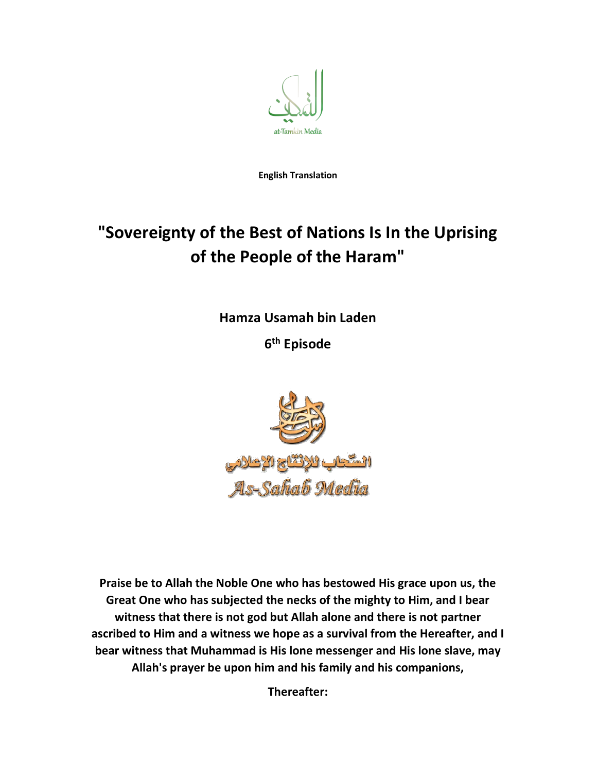

English Translation

## "Sovereignty of the Best of Nations Is In the Uprising of the People of the Haram"

Hamza Usamah bin Laden

6<sup>th</sup> Episode



Praise be to Allah the Noble One who has bestowed His grace upon us, the Great One who has subjected the necks of the mighty to Him, and I bear witness that there is not god but Allah alone and there is not partner ascribed to Him and a witness we hope as a survival from the Hereafter, and I bear witness that Muhammad is His lone messenger and His lone slave, may Allah's prayer be upon him and his family and his companions,

Thereafter: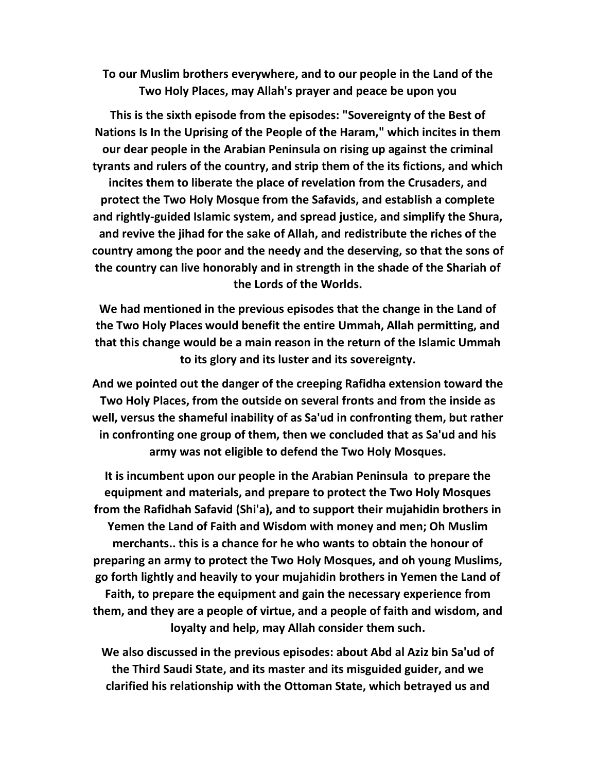To our Muslim brothers everywhere, and to our people in the Land of the Two Holy Places, may Allah's prayer and peace be upon you

This is the sixth episode from the episodes: "Sovereignty of the Best of Nations Is In the Uprising of the People of the Haram," which incites in them our dear people in the Arabian Peninsula on rising up against the criminal tyrants and rulers of the country, and strip them of the its fictions, and which incites them to liberate the place of revelation from the Crusaders, and protect the Two Holy Mosque from the Safavids, and establish a complete and rightly-guided Islamic system, and spread justice, and simplify the Shura, and revive the jihad for the sake of Allah, and redistribute the riches of the country among the poor and the needy and the deserving, so that the sons of the country can live honorably and in strength in the shade of the Shariah of the Lords of the Worlds.

We had mentioned in the previous episodes that the change in the Land of the Two Holy Places would benefit the entire Ummah, Allah permitting, and that this change would be a main reason in the return of the Islamic Ummah to its glory and its luster and its sovereignty.

And we pointed out the danger of the creeping Rafidha extension toward the Two Holy Places, from the outside on several fronts and from the inside as well, versus the shameful inability of as Sa'ud in confronting them, but rather in confronting one group of them, then we concluded that as Sa'ud and his army was not eligible to defend the Two Holy Mosques.

It is incumbent upon our people in the Arabian Peninsula to prepare the equipment and materials, and prepare to protect the Two Holy Mosques from the Rafidhah Safavid (Shi'a), and to support their mujahidin brothers in Yemen the Land of Faith and Wisdom with money and men; Oh Muslim merchants.. this is a chance for he who wants to obtain the honour of preparing an army to protect the Two Holy Mosques, and oh young Muslims, go forth lightly and heavily to your mujahidin brothers in Yemen the Land of Faith, to prepare the equipment and gain the necessary experience from them, and they are a people of virtue, and a people of faith and wisdom, and loyalty and help, may Allah consider them such.

We also discussed in the previous episodes: about Abd al Aziz bin Sa'ud of the Third Saudi State, and its master and its misguided guider, and we clarified his relationship with the Ottoman State, which betrayed us and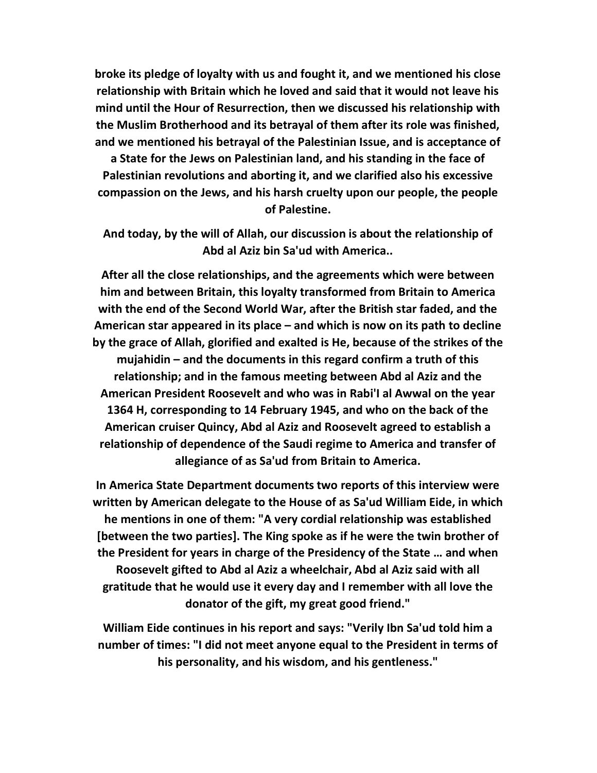broke its pledge of loyalty with us and fought it, and we mentioned his close relationship with Britain which he loved and said that it would not leave his mind until the Hour of Resurrection, then we discussed his relationship with the Muslim Brotherhood and its betrayal of them after its role was finished, and we mentioned his betrayal of the Palestinian Issue, and is acceptance of

a State for the Jews on Palestinian land, and his standing in the face of Palestinian revolutions and aborting it, and we clarified also his excessive compassion on the Jews, and his harsh cruelty upon our people, the people of Palestine.

And today, by the will of Allah, our discussion is about the relationship of Abd al Aziz bin Sa'ud with America..

After all the close relationships, and the agreements which were between him and between Britain, this loyalty transformed from Britain to America with the end of the Second World War, after the British star faded, and the American star appeared in its place – and which is now on its path to decline by the grace of Allah, glorified and exalted is He, because of the strikes of the mujahidin – and the documents in this regard confirm a truth of this relationship; and in the famous meeting between Abd al Aziz and the American President Roosevelt and who was in Rabi'I al Awwal on the year 1364 H, corresponding to 14 February 1945, and who on the back of the American cruiser Quincy, Abd al Aziz and Roosevelt agreed to establish a relationship of dependence of the Saudi regime to America and transfer of allegiance of as Sa'ud from Britain to America.

In America State Department documents two reports of this interview were written by American delegate to the House of as Sa'ud William Eide, in which he mentions in one of them: "A very cordial relationship was established [between the two parties]. The King spoke as if he were the twin brother of the President for years in charge of the Presidency of the State … and when Roosevelt gifted to Abd al Aziz a wheelchair, Abd al Aziz said with all gratitude that he would use it every day and I remember with all love the donator of the gift, my great good friend."

William Eide continues in his report and says: "Verily Ibn Sa'ud told him a number of times: "I did not meet anyone equal to the President in terms of his personality, and his wisdom, and his gentleness."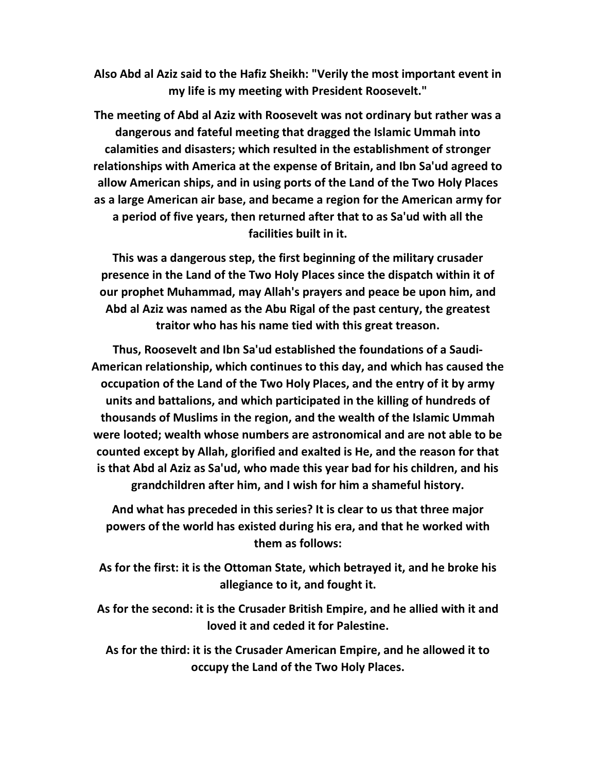Also Abd al Aziz said to the Hafiz Sheikh: "Verily the most important event in my life is my meeting with President Roosevelt."

The meeting of Abd al Aziz with Roosevelt was not ordinary but rather was a dangerous and fateful meeting that dragged the Islamic Ummah into calamities and disasters; which resulted in the establishment of stronger relationships with America at the expense of Britain, and Ibn Sa'ud agreed to allow American ships, and in using ports of the Land of the Two Holy Places as a large American air base, and became a region for the American army for a period of five years, then returned after that to as Sa'ud with all the facilities built in it.

This was a dangerous step, the first beginning of the military crusader presence in the Land of the Two Holy Places since the dispatch within it of our prophet Muhammad, may Allah's prayers and peace be upon him, and Abd al Aziz was named as the Abu Rigal of the past century, the greatest traitor who has his name tied with this great treason.

Thus, Roosevelt and Ibn Sa'ud established the foundations of a Saudi-American relationship, which continues to this day, and which has caused the occupation of the Land of the Two Holy Places, and the entry of it by army units and battalions, and which participated in the killing of hundreds of thousands of Muslims in the region, and the wealth of the Islamic Ummah were looted; wealth whose numbers are astronomical and are not able to be counted except by Allah, glorified and exalted is He, and the reason for that is that Abd al Aziz as Sa'ud, who made this year bad for his children, and his grandchildren after him, and I wish for him a shameful history.

And what has preceded in this series? It is clear to us that three major powers of the world has existed during his era, and that he worked with them as follows:

As for the first: it is the Ottoman State, which betrayed it, and he broke his allegiance to it, and fought it.

As for the second: it is the Crusader British Empire, and he allied with it and loved it and ceded it for Palestine.

As for the third: it is the Crusader American Empire, and he allowed it to occupy the Land of the Two Holy Places.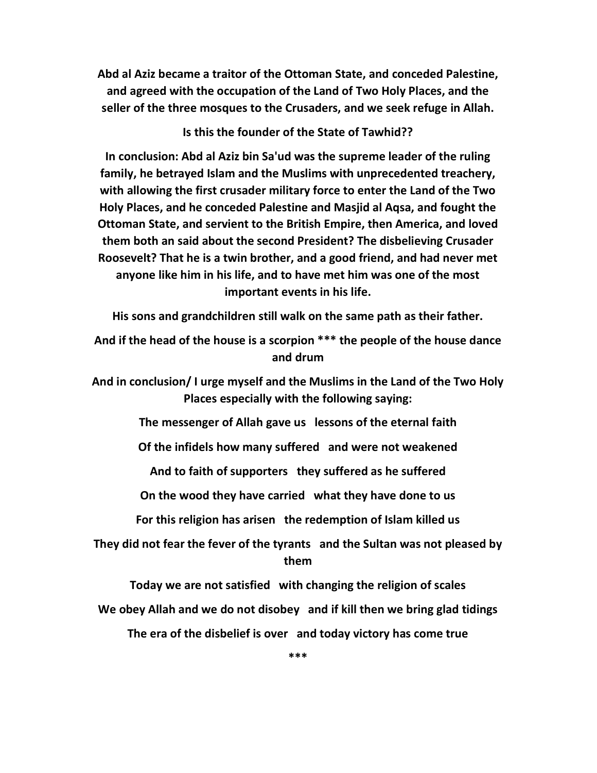Abd al Aziz became a traitor of the Ottoman State, and conceded Palestine, and agreed with the occupation of the Land of Two Holy Places, and the seller of the three mosques to the Crusaders, and we seek refuge in Allah.

Is this the founder of the State of Tawhid??

In conclusion: Abd al Aziz bin Sa'ud was the supreme leader of the ruling family, he betrayed Islam and the Muslims with unprecedented treachery, with allowing the first crusader military force to enter the Land of the Two Holy Places, and he conceded Palestine and Masjid al Aqsa, and fought the Ottoman State, and servient to the British Empire, then America, and loved them both an said about the second President? The disbelieving Crusader Roosevelt? That he is a twin brother, and a good friend, and had never met anyone like him in his life, and to have met him was one of the most important events in his life.

His sons and grandchildren still walk on the same path as their father.

And if the head of the house is a scorpion \*\*\* the people of the house dance and drum

And in conclusion/ I urge myself and the Muslims in the Land of the Two Holy Places especially with the following saying:

The messenger of Allah gave us lessons of the eternal faith

Of the infidels how many suffered and were not weakened

And to faith of supporters they suffered as he suffered

On the wood they have carried what they have done to us

For this religion has arisen the redemption of Islam killed us

They did not fear the fever of the tyrants and the Sultan was not pleased by them

Today we are not satisfied with changing the religion of scales We obey Allah and we do not disobey and if kill then we bring glad tidings The era of the disbelief is over and today victory has come true